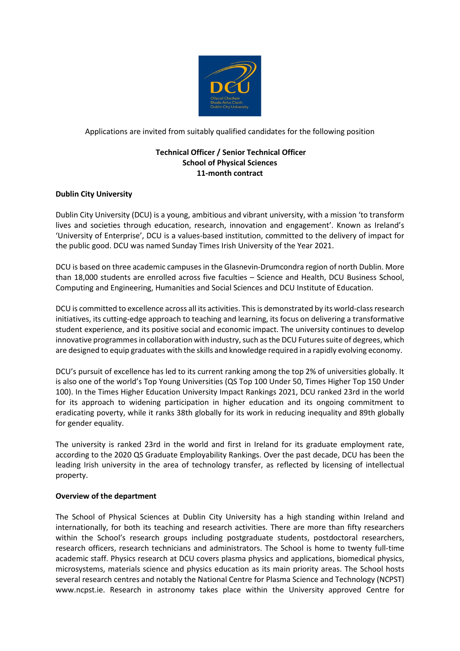

Applications are invited from suitably qualified candidates for the following position

# **Technical Officer / Senior Technical Officer School of Physical Sciences 11-month contract**

# **Dublin City University**

Dublin City University (DCU) is a young, ambitious and vibrant university, with a mission 'to transform lives and societies through education, research, innovation and engagement'. Known as Ireland's 'University of Enterprise', DCU is a values-based institution, committed to the delivery of impact for the public good. DCU was named Sunday Times Irish University of the Year 2021.

DCU is based on three academic campuses in the Glasnevin-Drumcondra region of north Dublin. More than 18,000 students are enrolled across five faculties – Science and Health, DCU Business School, Computing and Engineering, Humanities and Social Sciences and DCU Institute of Education.

DCU is committed to excellence across all its activities. This is demonstrated by its world-class research initiatives, its cutting-edge approach to teaching and learning, its focus on delivering a transformative student experience, and its positive social and economic impact. The university continues to develop innovative programmes in collaboration with industry, such as the DCU Futures suite of degrees, which are designed to equip graduates with the skills and knowledge required in a rapidly evolving economy.

DCU's pursuit of excellence has led to its current ranking among the top 2% of universities globally. It is also one of the world's Top Young Universities (QS Top 100 Under 50, Times Higher Top 150 Under 100). In the Times Higher Education University Impact Rankings 2021, DCU ranked 23rd in the world for its approach to widening participation in higher education and its ongoing commitment to eradicating poverty, while it ranks 38th globally for its work in reducing inequality and 89th globally for gender equality.

The university is ranked 23rd in the world and first in Ireland for its graduate employment rate, according to the 2020 QS Graduate Employability Rankings. Over the past decade, DCU has been the leading Irish university in the area of technology transfer, as reflected by licensing of intellectual property.

# **Overview of the department**

The School of Physical Sciences at Dublin City University has a high standing within Ireland and internationally, for both its teaching and research activities. There are more than fifty researchers within the School's research groups including postgraduate students, postdoctoral researchers, research officers, research technicians and administrators. The School is home to twenty full-time academic staff. Physics research at DCU covers plasma physics and applications, biomedical physics, microsystems, materials science and physics education as its main priority areas. The School hosts several research centres and notably the National Centre for Plasma Science and Technology (NCPST) www.ncpst.ie. Research in astronomy takes place within the University approved Centre for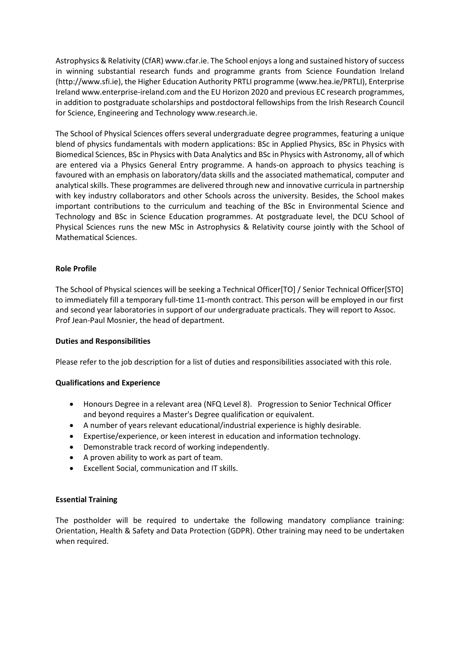Astrophysics & Relativity (CfAR) www.cfar.ie. The School enjoys a long and sustained history of success in winning substantial research funds and programme grants from Science Foundation Ireland (http://www.sfi.ie), the Higher Education Authority PRTLI programme (www.hea.ie/PRTLI), Enterprise Ireland www.enterprise-ireland.com and the EU Horizon 2020 and previous EC research programmes, in addition to postgraduate scholarships and postdoctoral fellowships from the Irish Research Council for Science, Engineering and Technology www.research.ie.

The School of Physical Sciences offers several undergraduate degree programmes, featuring a unique blend of physics fundamentals with modern applications: BSc in Applied Physics, BSc in Physics with Biomedical Sciences, BSc in Physics with Data Analytics and BSc in Physics with Astronomy, all of which are entered via a Physics General Entry programme. A hands-on approach to physics teaching is favoured with an emphasis on laboratory/data skills and the associated mathematical, computer and analytical skills. These programmes are delivered through new and innovative curricula in partnership with key industry collaborators and other Schools across the university. Besides, the School makes important contributions to the curriculum and teaching of the BSc in Environmental Science and Technology and BSc in Science Education programmes. At postgraduate level, the DCU School of Physical Sciences runs the new MSc in Astrophysics & Relativity course jointly with the School of Mathematical Sciences.

# **Role Profile**

The School of Physical sciences will be seeking a Technical Officer[TO] / Senior Technical Officer[STO] to immediately fill a temporary full-time 11-month contract. This person will be employed in our first and second year laboratories in support of our undergraduate practicals. They will report to Assoc. Prof Jean-Paul Mosnier, the head of department.

#### **Duties and Responsibilities**

Please refer to the job description for a list of duties and responsibilities associated with this role.

#### **Qualifications and Experience**

- Honours Degree in a relevant area (NFQ Level 8). Progression to Senior Technical Officer and beyond requires a Master's Degree qualification or equivalent.
- A number of years relevant educational/industrial experience is highly desirable.
- Expertise/experience, or keen interest in education and information technology.
- Demonstrable track record of working independently.
- A proven ability to work as part of team.
- Excellent Social, communication and IT skills.

#### **Essential Training**

The postholder will be required to undertake the following mandatory compliance training: Orientation, Health & Safety and Data Protection (GDPR). Other training may need to be undertaken when required.